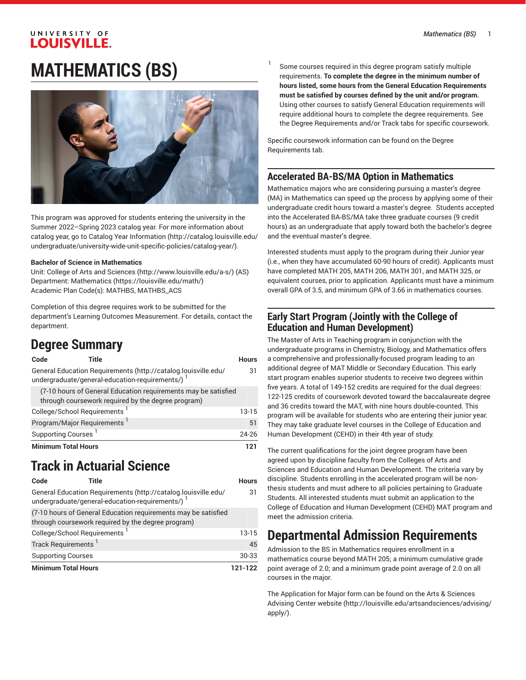## UNIVERSITY OF **LOUISVILLE. MATHEMATICS (BS)**



This program was approved for students entering the university in the Summer 2022–Spring 2023 catalog year. For more information about catalog year, go to Catalog Year [Information](http://catalog.louisville.edu/undergraduate/university-wide-unit-specific-policies/catalog-year/) ([http://catalog.louisville.edu/](http://catalog.louisville.edu/undergraduate/university-wide-unit-specific-policies/catalog-year/) [undergraduate/university-wide-unit-specific-policies/catalog-year/](http://catalog.louisville.edu/undergraduate/university-wide-unit-specific-policies/catalog-year/)).

#### **Bachelor of Science in Mathematics**

Unit: College of Arts and [Sciences \(http://www.louisville.edu/a-s/\)](http://www.louisville.edu/a-s/) (AS) Department: [Mathematics](https://louisville.edu/math/) (<https://louisville.edu/math/>) Academic Plan Code(s): MATHBS, MATHBS\_ACS

Completion of this degree requires work to be submitted for the department's Learning Outcomes Measurement. For details, contact the department.

## **Degree Summary**

| Code<br>Title                                                                                                        | <b>Hours</b> |
|----------------------------------------------------------------------------------------------------------------------|--------------|
| General Education Requirements (http://catalog.louisville.edu/<br>undergraduate/general-education-requirements/)     | 31           |
| (7-10 hours of General Education requirements may be satisfied<br>through coursework required by the degree program) |              |
| College/School Requirements <sup>1</sup>                                                                             | $13-15$      |
| Program/Major Requirements <sup>1</sup>                                                                              | 51           |
| Supporting Courses <sup>1</sup>                                                                                      | 24-26        |
| <b>Minimum Total Hours</b>                                                                                           | 121          |

## **Track in Actuarial Science**

| Code                                     | Title                                                                                                                | <b>Hours</b> |
|------------------------------------------|----------------------------------------------------------------------------------------------------------------------|--------------|
|                                          | General Education Requirements (http://catalog.louisville.edu/<br>undergraduate/general-education-requirements/)     | 31           |
|                                          | (7-10 hours of General Education requirements may be satisfied<br>through coursework required by the degree program) |              |
| College/School Requirements <sup>1</sup> |                                                                                                                      | $13-15$      |
| Track Requirements <sup>1</sup>          |                                                                                                                      | 45           |
| <b>Supporting Courses</b>                |                                                                                                                      | 30-33        |
| <b>Minimum Total Hours</b>               |                                                                                                                      | 121-122      |

1 Some courses required in this degree program satisfy multiple requirements. **To complete the degree in the minimum number of hours listed, some hours from the General Education Requirements must be satisfied by courses defined by the unit and/or program.** Using other courses to satisfy General Education requirements will require additional hours to complete the degree requirements. See the Degree Requirements and/or Track tabs for specific coursework.

Specific coursework information can be found on the Degree Requirements tab.

#### **Accelerated BA-BS/MA Option in Mathematics**

Mathematics majors who are considering pursuing a master's degree (MA) in Mathematics can speed up the process by applying some of their undergraduate credit hours toward a master's degree. Students accepted into the Accelerated BA-BS/MA take three graduate courses (9 credit hours) as an undergraduate that apply toward both the bachelor's degree and the eventual master's degree.

Interested students must apply to the program during their Junior year (i.e., when they have accumulated 60-90 hours of credit). Applicants must have completed MATH 205, MATH 206, MATH 301, and MATH 325, or equivalent courses, prior to application. Applicants must have a minimum overall GPA of 3.5, and minimum GPA of 3.66 in mathematics courses.

#### **Early Start Program (Jointly with the College of Education and Human Development)**

The Master of Arts in Teaching program in conjunction with the undergraduate programs in Chemistry, Biology, and Mathematics offers a comprehensive and professionally-focused program leading to an additional degree of MAT Middle or Secondary Education. This early start program enables superior students to receive two degrees within five years. A total of 149-152 credits are required for the dual degrees: 122-125 credits of coursework devoted toward the baccalaureate degree and 36 credits toward the MAT, with nine hours double-counted. This program will be available for students who are entering their junior year. They may take graduate level courses in the College of Education and Human Development (CEHD) in their 4th year of study.

The current qualifications for the joint degree program have been agreed upon by discipline faculty from the Colleges of Arts and Sciences and Education and Human Development. The criteria vary by discipline. Students enrolling in the accelerated program will be nonthesis students and must adhere to all policies pertaining to Graduate Students. All interested students must submit an application to the College of Education and Human Development (CEHD) MAT program and meet the admission criteria.

## **Departmental Admission Requirements**

Admission to the BS in Mathematics requires enrollment in a mathematics course beyond MATH 205; a minimum cumulative grade point average of 2.0; and a minimum grade point average of 2.0 on all courses in the major.

The Application for Major form can be found on the Arts & [Sciences](http://louisville.edu/artsandsciences/advising/apply/) [Advising Center website](http://louisville.edu/artsandsciences/advising/apply/) ([http://louisville.edu/artsandsciences/advising/](http://louisville.edu/artsandsciences/advising/apply/) [apply/](http://louisville.edu/artsandsciences/advising/apply/)).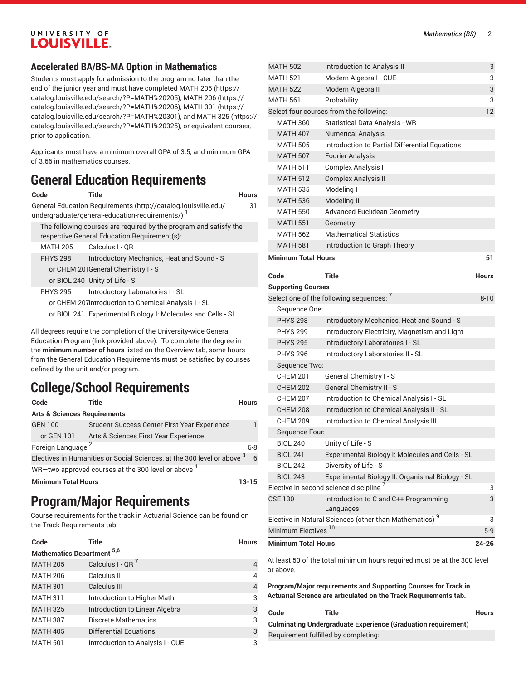### UNIVERSITY OF **LOUISVILLE.**

### **Accelerated BA/BS-MA Option in Mathematics**

Students must apply for admission to the program no later than the end of the junior year and must have completed [MATH](https://catalog.louisville.edu/search/?P=MATH%20205) 205 ([https://](https://catalog.louisville.edu/search/?P=MATH%20205) [catalog.louisville.edu/search/?P=MATH%20205](https://catalog.louisville.edu/search/?P=MATH%20205)), [MATH](https://catalog.louisville.edu/search/?P=MATH%20206) 206 [\(https://](https://catalog.louisville.edu/search/?P=MATH%20206) [catalog.louisville.edu/search/?P=MATH%20206](https://catalog.louisville.edu/search/?P=MATH%20206)), [MATH](https://catalog.louisville.edu/search/?P=MATH%20301) 301 [\(https://](https://catalog.louisville.edu/search/?P=MATH%20301) [catalog.louisville.edu/search/?P=MATH%20301](https://catalog.louisville.edu/search/?P=MATH%20301)), and [MATH](https://catalog.louisville.edu/search/?P=MATH%20325) 325 ([https://](https://catalog.louisville.edu/search/?P=MATH%20325) [catalog.louisville.edu/search/?P=MATH%20325](https://catalog.louisville.edu/search/?P=MATH%20325)), or equivalent courses, prior to application.

Applicants must have a minimum overall GPA of 3.5, and minimum GPA of 3.66 in mathematics courses.

## **General Education Requirements**

| Code            | Title                                                                                                             | Hours |
|-----------------|-------------------------------------------------------------------------------------------------------------------|-------|
|                 | General Education Requirements (http://catalog.louisville.edu/<br>undergraduate/general-education-requirements/)  | 31    |
|                 | The following courses are required by the program and satisfy the<br>respective General Education Requirement(s): |       |
| <b>MATH 205</b> | Calculus I - OR                                                                                                   |       |
| <b>PHYS 298</b> | Introductory Mechanics, Heat and Sound - S                                                                        |       |
|                 | or CHEM 201General Chemistry I - S                                                                                |       |
|                 | or BIOL 240 Unity of Life - S                                                                                     |       |
| <b>PHYS 295</b> | Introductory Laboratories I - SL                                                                                  |       |
|                 | or CHEM 207Introduction to Chemical Analysis I - SL                                                               |       |
|                 | or BIOL 241 Experimental Biology I: Molecules and Cells - SL                                                      |       |
|                 |                                                                                                                   |       |

All degrees require the completion of the University-wide General Education Program (link provided above). To complete the degree in the **minimum number of hours** listed on the Overview tab, some hours from the General Education Requirements must be satisfied by courses defined by the unit and/or program.

## **College/School Requirements**

| Code                                                           | Title                                                                      | <b>Hours</b> |  |
|----------------------------------------------------------------|----------------------------------------------------------------------------|--------------|--|
| <b>Arts &amp; Sciences Requirements</b>                        |                                                                            |              |  |
| <b>GEN 100</b>                                                 | <b>Student Success Center First Year Experience</b>                        |              |  |
| or GEN 101                                                     | Arts & Sciences First Year Experience                                      |              |  |
| Foreign Language <sup>2</sup>                                  |                                                                            | $6 - 8$      |  |
|                                                                | Electives in Humanities or Social Sciences, at the 300 level or above $^3$ | 6            |  |
| WR-two approved courses at the 300 level or above <sup>4</sup> |                                                                            |              |  |
| <b>Minimum Total Hours</b>                                     |                                                                            | 13-15        |  |

## **Program/Major Requirements**

Course requirements for the track in Actuarial Science can be found on the Track Requirements tab.

| Code                              | <b>Title</b>                     | <b>Hours</b>   |
|-----------------------------------|----------------------------------|----------------|
| <b>Mathematics Department 5,6</b> |                                  |                |
| <b>MATH 205</b>                   | Calculus I - QR $^7$             | 4              |
| <b>MATH 206</b>                   | Calculus II                      | 4              |
| <b>MATH 301</b>                   | Calculus III                     | $\overline{4}$ |
| <b>MATH 311</b>                   | Introduction to Higher Math      | 3              |
| <b>MATH 325</b>                   | Introduction to Linear Algebra   | 3              |
| <b>MATH 387</b>                   | <b>Discrete Mathematics</b>      | 3              |
| <b>MATH 405</b>                   | Differential Equations           | 3              |
| <b>MATH 501</b>                   | Introduction to Analysis I - CUE | 3              |

| <b>MATH 502</b>                 | Introduction to Analysis II                                              | 3            |
|---------------------------------|--------------------------------------------------------------------------|--------------|
| <b>MATH 521</b>                 | Modern Algebra I - CUE                                                   | 3            |
| <b>MATH 522</b>                 | Modern Algebra II                                                        | 3            |
| Probability<br><b>MATH 561</b>  |                                                                          | 3            |
|                                 | Select four courses from the following:                                  | 12           |
| <b>MATH 360</b>                 | <b>Statistical Data Analysis - WR</b>                                    |              |
| <b>MATH 407</b>                 | <b>Numerical Analysis</b>                                                |              |
| <b>MATH 505</b>                 | Introduction to Partial Differential Equations                           |              |
| <b>MATH 507</b>                 | <b>Fourier Analysis</b>                                                  |              |
| <b>MATH 511</b>                 | Complex Analysis I                                                       |              |
| <b>MATH 512</b>                 | <b>Complex Analysis II</b>                                               |              |
| <b>MATH 535</b>                 | Modeling I                                                               |              |
| <b>MATH 536</b>                 | Modeling II                                                              |              |
| <b>MATH 550</b>                 | <b>Advanced Euclidean Geometry</b>                                       |              |
| <b>MATH 551</b>                 | Geometry                                                                 |              |
| <b>MATH 562</b>                 | <b>Mathematical Statistics</b>                                           |              |
| <b>MATH 581</b>                 | Introduction to Graph Theory                                             |              |
| <b>Minimum Total Hours</b>      |                                                                          | 51           |
| Code                            | Title                                                                    | <b>Hours</b> |
| <b>Supporting Courses</b>       |                                                                          |              |
|                                 | Select one of the following sequences: '                                 | $8 - 10$     |
| Sequence One:                   |                                                                          |              |
| <b>PHYS 298</b>                 | Introductory Mechanics, Heat and Sound - S                               |              |
| <b>PHYS 299</b>                 | Introductory Electricity, Magnetism and Light                            |              |
| <b>PHYS 295</b>                 | Introductory Laboratories I - SL                                         |              |
| <b>PHYS 296</b>                 | Introductory Laboratories II - SL                                        |              |
| Sequence Two:                   |                                                                          |              |
| <b>CHEM 201</b>                 | General Chemistry I - S                                                  |              |
| <b>CHEM 202</b>                 | General Chemistry II - S                                                 |              |
| <b>CHEM 207</b>                 | Introduction to Chemical Analysis I - SL                                 |              |
| <b>CHEM 208</b>                 | Introduction to Chemical Analysis II - SL                                |              |
| <b>CHEM 209</b>                 | Introduction to Chemical Analysis III                                    |              |
| Sequence Four.                  |                                                                          |              |
| <b>BIOL 240</b>                 | Unity of Life - S                                                        |              |
| <b>BIOL 241</b>                 | Experimental Biology I: Molecules and Cells - SL                         |              |
| <b>BIOL 242</b>                 | Diversity of Life - S                                                    |              |
| <b>BIOL 243</b>                 | Experimental Biology II: Organismal Biology - SL                         |              |
|                                 | Elective in second science discipline <sup>7</sup>                       | 3            |
| <b>CSE 130</b>                  | Introduction to C and C++ Programming                                    | 3            |
|                                 | Languages                                                                |              |
|                                 | Elective in Natural Sciences (other than Mathematics) <sup>9</sup>       | 3            |
| Minimum Electives <sup>10</sup> |                                                                          | $5-9$        |
| <b>Minimum Total Hours</b>      |                                                                          | 24-26        |
| or above.                       | At least 50 of the total minimum hours required must be at the 300 level |              |

**Program/Major requirements and Supporting Courses for Track in Actuarial Science are articulated on the Track Requirements tab.**

| Code                                                                 | Title                                | <b>Hours</b> |
|----------------------------------------------------------------------|--------------------------------------|--------------|
| <b>Culminating Undergraduate Experience (Graduation requirement)</b> |                                      |              |
|                                                                      | Requirement fulfilled by completing: |              |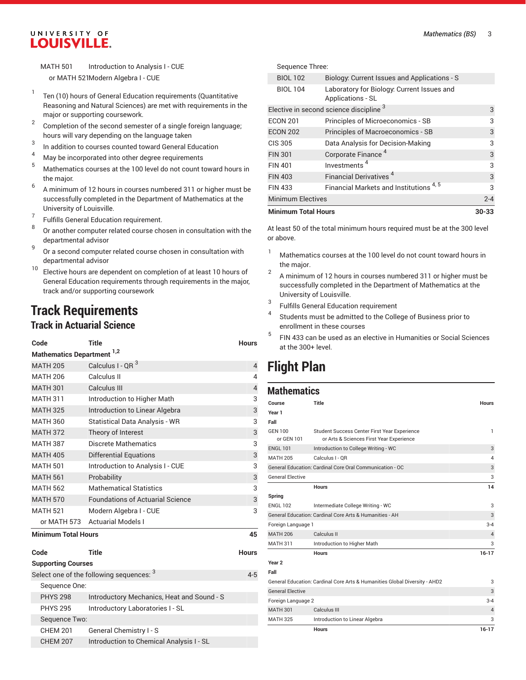#### UNIVERSITY OF LOUISVILLE.

MATH 501 Introduction to Analysis I - CUE or MATH 521Modern Algebra I - CUE

- 1 Ten (10) hours of General Education requirements (Quantitative Reasoning and Natural Sciences) are met with requirements in the major or supporting coursework.
- 2 Completion of the second semester of a single foreign language; hours will vary depending on the language taken
- 3 In addition to courses counted toward General Education
- <sup>4</sup> May be incorporated into other degree requirements  $\frac{5}{2}$
- <sup>5</sup> Mathematics courses at the <sup>100</sup> level do not count toward hours in the major.
- 6 A minimum of 12 hours in courses numbered 311 or higher must be successfully completed in the Department of Mathematics at the University of Louisville.
- 7 Fulfills General Education requirement.
- 8 Or another computer related course chosen in consultation with the departmental advisor
- 9 Or a second computer related course chosen in consultation with departmental advisor
- <sup>10</sup> Elective hours are dependent on completion of at least 10 hours of General Education requirements through requirements in the major, track and/or supporting coursework

## **Track Requirements**

### **Track in Actuarial Science**

| Code                       | Title                                   | <b>Hours</b>   |  |  |
|----------------------------|-----------------------------------------|----------------|--|--|
|                            | Mathematics Department <sup>1,2</sup>   |                |  |  |
| <b>MATH 205</b>            | Calculus I - QR <sup>3</sup>            | $\overline{4}$ |  |  |
| <b>MATH 206</b>            | Calculus II                             | 4              |  |  |
| <b>MATH 301</b>            | Calculus III                            | $\overline{4}$ |  |  |
| <b>MATH 311</b>            | Introduction to Higher Math             | 3              |  |  |
| <b>MATH 325</b>            | Introduction to Linear Algebra          | 3              |  |  |
| <b>MATH 360</b>            | Statistical Data Analysis - WR          | 3              |  |  |
| <b>MATH 372</b>            | Theory of Interest                      | 3              |  |  |
| <b>MATH 387</b>            | Discrete Mathematics                    | 3              |  |  |
| <b>MATH 405</b>            | <b>Differential Equations</b>           | 3              |  |  |
| <b>MATH 501</b>            | Introduction to Analysis I - CUE        | 3              |  |  |
| <b>MATH 561</b>            | Probability                             | 3              |  |  |
| <b>MATH 562</b>            | <b>Mathematical Statistics</b>          | 3              |  |  |
| <b>MATH 570</b>            | <b>Foundations of Actuarial Science</b> | 3              |  |  |
| <b>MATH 521</b>            | Modern Algebra I - CUE                  | 3              |  |  |
| or MATH 573                | <b>Actuarial Models I</b>               |                |  |  |
| <b>Minimum Total Hours</b> |                                         | 45             |  |  |
| Code                       | Title                                   | <b>Hours</b>   |  |  |
| <b>Supporting Courses</b>  |                                         |                |  |  |

|                 | Select one of the following sequences: $^3$ | 4-5 |
|-----------------|---------------------------------------------|-----|
| Sequence One:   |                                             |     |
| <b>PHYS 298</b> | Introductory Mechanics, Heat and Sound - S  |     |
| <b>PHYS 295</b> | Introductory Laboratories I - SL            |     |
| Sequence Two:   |                                             |     |
| <b>CHEM 201</b> | General Chemistry I - S                     |     |
| <b>CHEM 207</b> | Introduction to Chemical Analysis I - SL    |     |

| <b>Minimum Total Hours</b> |                                                                 | $30 - 33$ |
|----------------------------|-----------------------------------------------------------------|-----------|
| <b>Minimum Electives</b>   |                                                                 | $2 - 4$   |
| <b>FIN 433</b>             | Financial Markets and Institutions <sup>4,5</sup>               | 3         |
| <b>FIN 403</b>             | Financial Derivatives <sup>4</sup>                              | 3         |
| <b>FIN 401</b>             | Investments <sup>4</sup>                                        | 3         |
| <b>FIN 301</b>             | Corporate Finance <sup>4</sup>                                  | 3         |
| CIS 305                    | Data Analysis for Decision-Making                               | 3         |
| <b>ECON 202</b>            | Principles of Macroeconomics - SB                               | 3         |
| <b>ECON 201</b>            | Principles of Microeconomics - SB                               | 3         |
|                            | Elective in second science discipline 3                         | 3         |
| <b>BIOL 104</b>            | Laboratory for Biology: Current Issues and<br>Applications - SL |           |
| <b>BIOL 102</b>            | Biology: Current Issues and Applications - S                    |           |
| Sequence Three:            |                                                                 |           |

At least 50 of the total minimum hours required must be at the 300 level or above.

- <sup>1</sup> Mathematics courses at the 100 level do not count toward hours in the major.
- 2 A minimum of 12 hours in courses numbered 311 or higher must be successfully completed in the Department of Mathematics at the University of Louisville.
- 3 Fulfills General Education requirement
- 4 Students must be admitted to the College of Business prior to enrollment in these courses
- 5 FIN 433 can be used as an elective in Humanities or Social Sciences at the 300+ level.

## **Flight Plan**

#### **Mathematics Course Title Hours Year 1 Fall** GEN 100 or GEN 101 Student Success Center First Year Experience or Arts & Sciences First Year Experience 1 ENGL 101 Introduction to College Writing - WC 3 MATH 205 Calculus I - QR 4 General Education: Cardinal Core Oral Communication - OC 3 3 General Elective 3 **Hours 14 Spring** ENGL 102 Intermediate College Writing - WC 3 General Education: Cardinal Core Arts & Humanities - AH 3 3 Foreign Language 1 3-4 MATH 206 Calculus II 4 MATH 311 Introduction to Higher Math 3 **Hours 16-17 Year 2 Fall** General Education: Cardinal Core Arts & Humanities Global Diversity - AHD2 3 General Elective 3 and 3 and 3 and 3 and 3 and 3 and 3 and 3 and 3 and 3 and 3 and 3 and 3 and 3 and 3 and 3 and 3 and 3 and 3 and 3 and 3 and 3 and 3 and 3 and 3 and 3 and 3 and 3 and 3 and 3 and 3 and 3 and 3 and 3 and 3 Foreign Language 2 3-4 MATH 301 Calculus III 4 MATH 325 Introduction to Linear Algebra 3 **Hours 16-17**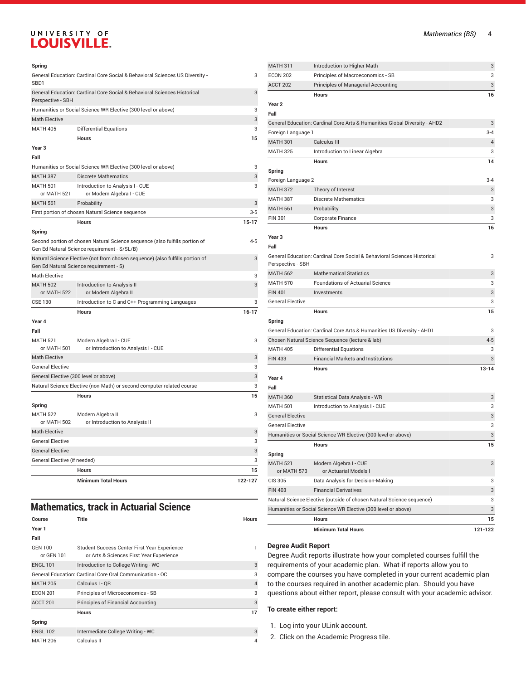### UNIVERSITY OF **LOUISVILLE.**

#### **Spring**

| General Education: Cardinal Core Social & Behavioral Sciences US Diversity -<br>3<br>SB <sub>D1</sub> |                                                                                                                             |         |  |
|-------------------------------------------------------------------------------------------------------|-----------------------------------------------------------------------------------------------------------------------------|---------|--|
| General Education: Cardinal Core Social & Behavioral Sciences Historical<br>3<br>Perspective - SBH    |                                                                                                                             |         |  |
|                                                                                                       | Humanities or Social Science WR Elective (300 level or above)                                                               | 3       |  |
| <b>Math Elective</b>                                                                                  |                                                                                                                             | 3       |  |
| <b>MATH 405</b>                                                                                       | <b>Differential Equations</b>                                                                                               | 3       |  |
|                                                                                                       | <b>Hours</b>                                                                                                                | 15      |  |
| Year <sub>3</sub>                                                                                     |                                                                                                                             |         |  |
| Fall                                                                                                  |                                                                                                                             |         |  |
|                                                                                                       | Humanities or Social Science WR Elective (300 level or above)                                                               | 3       |  |
| <b>MATH 387</b>                                                                                       | <b>Discrete Mathematics</b>                                                                                                 | 3       |  |
| <b>MATH 501</b>                                                                                       | Introduction to Analysis I - CUE                                                                                            | 3       |  |
| or MATH 521                                                                                           | or Modern Algebra I - CUE                                                                                                   |         |  |
| <b>MATH 561</b>                                                                                       | Probability                                                                                                                 | 3       |  |
|                                                                                                       | First portion of chosen Natural Science sequence                                                                            | $3 - 5$ |  |
|                                                                                                       | <b>Hours</b>                                                                                                                | $15-17$ |  |
| Spring                                                                                                |                                                                                                                             |         |  |
|                                                                                                       | Second portion of chosen Natural Science sequence (also fulfills portion of<br>Gen Ed Natural Science requirement - S/SL/B) | $4 - 5$ |  |
|                                                                                                       | Natural Science Elective (not from chosen sequence) (also fulfills portion of<br>Gen Ed Natural Science requirement - S)    | 3       |  |
| <b>Math Elective</b>                                                                                  |                                                                                                                             | 3       |  |
| <b>MATH 502</b><br>or MATH 522                                                                        | Introduction to Analysis II<br>or Modern Algebra II                                                                         | 3       |  |
| <b>CSE 130</b>                                                                                        | Introduction to C and C++ Programming Languages                                                                             | 3       |  |
|                                                                                                       | <b>Hours</b>                                                                                                                | $16-17$ |  |
| Year 4                                                                                                |                                                                                                                             |         |  |
| Fall                                                                                                  |                                                                                                                             |         |  |
| <b>MATH 521</b>                                                                                       | Modern Algebra I - CUE                                                                                                      | 3       |  |
| or MATH 501                                                                                           | or Introduction to Analysis I - CUE                                                                                         |         |  |
| <b>Math Elective</b>                                                                                  |                                                                                                                             | 3       |  |
| <b>General Elective</b>                                                                               |                                                                                                                             | 3       |  |
| General Elective (300 level or above)                                                                 |                                                                                                                             | 3       |  |
|                                                                                                       | Natural Science Elective (non-Math) or second computer-related course                                                       | 3       |  |
|                                                                                                       | Hours                                                                                                                       | 15      |  |
| Spring                                                                                                |                                                                                                                             |         |  |
| <b>MATH 522</b>                                                                                       | Modern Algebra II                                                                                                           | 3       |  |
| or MATH 502                                                                                           | or Introduction to Analysis II                                                                                              |         |  |
| <b>Math Elective</b>                                                                                  |                                                                                                                             | 3       |  |
| <b>General Elective</b>                                                                               |                                                                                                                             | 3       |  |
| <b>General Elective</b>                                                                               | 3                                                                                                                           |         |  |
|                                                                                                       | General Elective (if needed)<br>3                                                                                           |         |  |
|                                                                                                       | Hours                                                                                                                       | 15      |  |
|                                                                                                       | <b>Minimum Total Hours</b>                                                                                                  | 122-127 |  |

### **Mathematics, track in Actuarial Science**

| Course                                                   | Title                                                                                    | <b>Hours</b>   |  |  |
|----------------------------------------------------------|------------------------------------------------------------------------------------------|----------------|--|--|
| Year 1                                                   |                                                                                          |                |  |  |
| Fall                                                     |                                                                                          |                |  |  |
| <b>GEN 100</b><br>or GEN 101                             | Student Success Center First Year Experience<br>or Arts & Sciences First Year Experience |                |  |  |
| <b>ENGL 101</b>                                          | Introduction to College Writing - WC                                                     | 3              |  |  |
| General Education: Cardinal Core Oral Communication - OC |                                                                                          |                |  |  |
| <b>MATH 205</b>                                          | Calculus I - OR                                                                          | $\overline{4}$ |  |  |
| <b>ECON 201</b>                                          | Principles of Microeconomics - SB                                                        | 3              |  |  |
| ACCT <sub>201</sub>                                      | Principles of Financial Accounting                                                       | 3              |  |  |
|                                                          | <b>Hours</b>                                                                             | 17             |  |  |
| Spring                                                   |                                                                                          |                |  |  |
| <b>ENGL 102</b>                                          | Intermediate College Writing - WC                                                        | 3              |  |  |
| <b>MATH 206</b>                                          | Calculus II                                                                              | 4              |  |  |

| MATH 311                | Introduction to Higher Math                                                | 3              |
|-------------------------|----------------------------------------------------------------------------|----------------|
| <b>ECON 202</b>         | Principles of Macroeconomics - SB                                          | 3              |
| ACCT 202                | <b>Principles of Managerial Accounting</b>                                 | 3              |
|                         | <b>Hours</b>                                                               | 16             |
| Year 2                  |                                                                            |                |
| Fall                    |                                                                            |                |
|                         | General Education: Cardinal Core Arts & Humanities Global Diversity - AHD2 | 3              |
| Foreign Language 1      |                                                                            | $3 - 4$        |
| <b>MATH 301</b>         | Calculus III                                                               | $\overline{4}$ |
| <b>MATH 325</b>         | Introduction to Linear Algebra                                             | 3              |
|                         | <b>Hours</b>                                                               | 14             |
| Spring                  |                                                                            |                |
| Foreign Language 2      |                                                                            | $3 - 4$        |
| <b>MATH 372</b>         | Theory of Interest                                                         | 3              |
| <b>MATH 387</b>         | <b>Discrete Mathematics</b>                                                | 3              |
| <b>MATH 561</b>         | Probability                                                                | 3              |
| <b>FIN 301</b>          | Corporate Finance                                                          | 3              |
|                         | <b>Hours</b>                                                               | 16             |
| Year 3                  |                                                                            |                |
| Fall                    |                                                                            |                |
|                         | General Education: Cardinal Core Social & Behavioral Sciences Historical   | 3              |
| Perspective - SBH       |                                                                            |                |
| <b>MATH 562</b>         | <b>Mathematical Statistics</b>                                             | 3              |
| <b>MATH 570</b>         | <b>Foundations of Actuarial Science</b>                                    | 3              |
| <b>FIN 401</b>          | Investments                                                                | 3              |
| <b>General Elective</b> |                                                                            | 3              |
|                         | Hours                                                                      | 15             |
| Spring                  |                                                                            |                |
|                         | General Education: Cardinal Core Arts & Humanities US Diversity - AHD1     | 3              |
|                         | Chosen Natural Science Sequence (lecture & lab)                            | $4 - 5$        |
| <b>MATH 405</b>         | <b>Differential Equations</b>                                              | 3              |
| <b>FIN 433</b>          | <b>Financial Markets and Institutions</b>                                  | 3              |
|                         | <b>Hours</b>                                                               | $13 - 14$      |
| Year 4                  |                                                                            |                |
| Fall                    |                                                                            |                |
| <b>MATH 360</b>         | Statistical Data Analysis - WR                                             | 3              |
| <b>MATH 501</b>         | Introduction to Analysis I - CUE                                           | 3              |
| <b>General Elective</b> |                                                                            | 3              |
| <b>General Elective</b> |                                                                            | 3              |
|                         | Humanities or Social Science WR Elective (300 level or above)              | 3              |
|                         | <b>Hours</b>                                                               | 15             |
| Spring                  |                                                                            |                |
| <b>MATH 521</b>         | Modern Algebra I - CUE                                                     | 3              |
| or MATH 573             | or Actuarial Models I                                                      |                |
| <b>CIS 305</b>          | Data Analysis for Decision-Making                                          | 3              |
| <b>FIN 403</b>          | <b>Financial Derivatives</b>                                               | 3              |
|                         | Natural Science Elective (outside of chosen Natural Science sequence)      | 3              |
|                         | Humanities or Social Science WR Elective (300 level or above)              | 3              |
|                         | <b>Hours</b>                                                               | 15             |
|                         | <b>Minimum Total Hours</b>                                                 | 121-122        |

#### **Degree Audit Report**

Degree Audit reports illustrate how your completed courses fulfill the requirements of your academic plan. What-if reports allow you to compare the courses you have completed in your current academic plan to the courses required in another academic plan. Should you have questions about either report, please consult with your academic advisor.

#### **To create either report:**

1. Log into your ULink account.

2. Click on the Academic Progress tile.